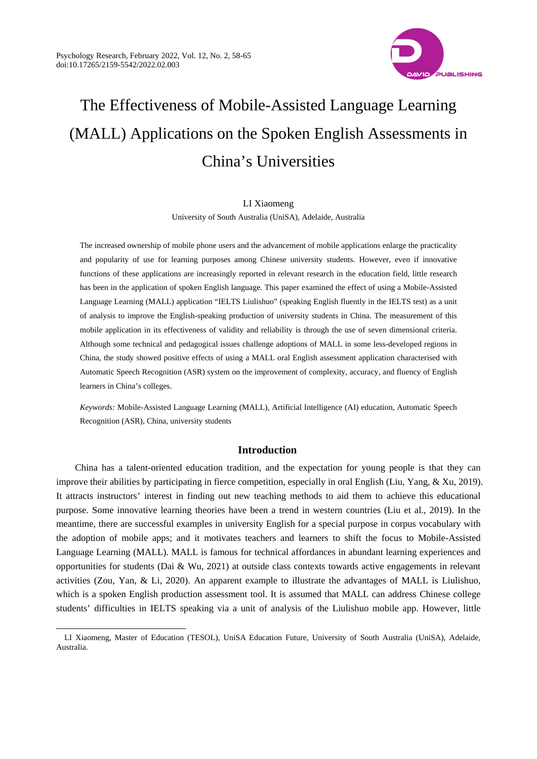$\overline{a}$ 



# The Effectiveness of Mobile-Assisted Language Learning (MALL) Applications on the Spoken English Assessments in China's Universities

#### LI Xiaomeng

University of South Australia (UniSA), Adelaide, Australia

The increased ownership of mobile phone users and the advancement of mobile applications enlarge the practicality and popularity of use for learning purposes among Chinese university students. However, even if innovative functions of these applications are increasingly reported in relevant research in the education field, little research has been in the application of spoken English language. This paper examined the effect of using a Mobile-Assisted Language Learning (MALL) application "IELTS Liulishuo" (speaking English fluently in the IELTS test) as a unit of analysis to improve the English-speaking production of university students in China. The measurement of this mobile application in its effectiveness of validity and reliability is through the use of seven dimensional criteria. Although some technical and pedagogical issues challenge adoptions of MALL in some less-developed regions in China, the study showed positive effects of using a MALL oral English assessment application characterised with Automatic Speech Recognition (ASR) system on the improvement of complexity, accuracy, and fluency of English learners in China's colleges.

*Keywords:* Mobile-Assisted Language Learning (MALL), Artificial Intelligence (AI) education, Automatic Speech Recognition (ASR), China, university students

# **Introduction**

China has a talent-oriented education tradition, and the expectation for young people is that they can improve their abilities by participating in fierce competition, especially in oral English (Liu, Yang, & Xu, 2019). It attracts instructors' interest in finding out new teaching methods to aid them to achieve this educational purpose. Some innovative learning theories have been a trend in western countries (Liu et al., 2019). In the meantime, there are successful examples in university English for a special purpose in corpus vocabulary with the adoption of mobile apps; and it motivates teachers and learners to shift the focus to Mobile-Assisted Language Learning (MALL). MALL is famous for technical affordances in abundant learning experiences and opportunities for students (Dai & Wu, 2021) at outside class contexts towards active engagements in relevant activities (Zou, Yan, & Li, 2020). An apparent example to illustrate the advantages of MALL is Liulishuo, which is a spoken English production assessment tool. It is assumed that MALL can address Chinese college students' difficulties in IELTS speaking via a unit of analysis of the Liulishuo mobile app. However, little

LI Xiaomeng, Master of Education (TESOL), UniSA Education Future, University of South Australia (UniSA), Adelaide, Australia.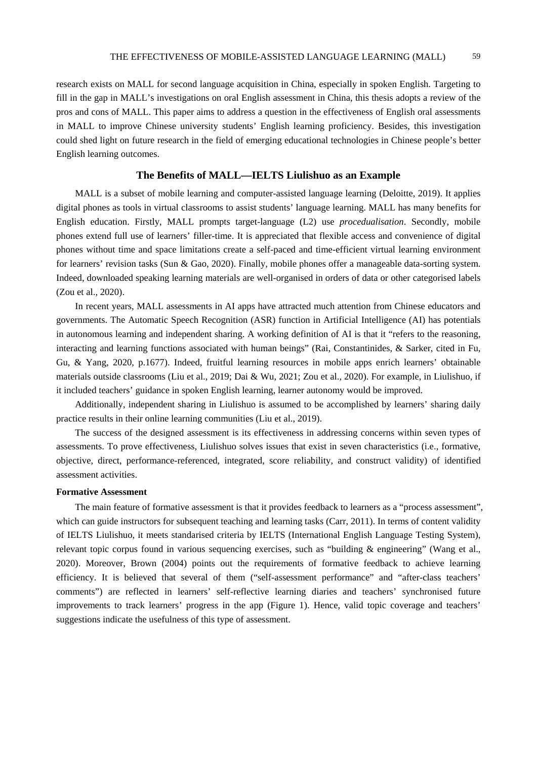research exists on MALL for second language acquisition in China, especially in spoken English. Targeting to fill in the gap in MALL's investigations on oral English assessment in China, this thesis adopts a review of the pros and cons of MALL. This paper aims to address a question in the effectiveness of English oral assessments in MALL to improve Chinese university students' English learning proficiency. Besides, this investigation could shed light on future research in the field of emerging educational technologies in Chinese people's better English learning outcomes.

# **The Benefits of MALL—IELTS Liulishuo as an Example**

MALL is a subset of mobile learning and computer-assisted language learning (Deloitte, 2019). It applies digital phones as tools in virtual classrooms to assist students' language learning. MALL has many benefits for English education. Firstly, MALL prompts target-language (L2) use *procedualisation*. Secondly, mobile phones extend full use of learners' filler-time. It is appreciated that flexible access and convenience of digital phones without time and space limitations create a self-paced and time-efficient virtual learning environment for learners' revision tasks (Sun & Gao, 2020). Finally, mobile phones offer a manageable data-sorting system. Indeed, downloaded speaking learning materials are well-organised in orders of data or other categorised labels (Zou et al., 2020).

In recent years, MALL assessments in AI apps have attracted much attention from Chinese educators and governments. The Automatic Speech Recognition (ASR) function in Artificial Intelligence (AI) has potentials in autonomous learning and independent sharing. A working definition of AI is that it "refers to the reasoning, interacting and learning functions associated with human beings" (Rai, Constantinides, & Sarker, cited in Fu, Gu, & Yang, 2020, p.1677). Indeed, fruitful learning resources in mobile apps enrich learners' obtainable materials outside classrooms (Liu et al., 2019; Dai & Wu, 2021; Zou et al., 2020). For example, in Liulishuo, if it included teachers' guidance in spoken English learning, learner autonomy would be improved.

Additionally, independent sharing in Liulishuo is assumed to be accomplished by learners' sharing daily practice results in their online learning communities (Liu et al., 2019).

The success of the designed assessment is its effectiveness in addressing concerns within seven types of assessments. To prove effectiveness, Liulishuo solves issues that exist in seven characteristics (i.e., formative, objective, direct, performance-referenced, integrated, score reliability, and construct validity) of identified assessment activities.

# **Formative Assessment**

The main feature of formative assessment is that it provides feedback to learners as a "process assessment", which can guide instructors for subsequent teaching and learning tasks (Carr, 2011). In terms of content validity of IELTS Liulishuo, it meets standarised criteria by IELTS (International English Language Testing System), relevant topic corpus found in various sequencing exercises, such as "building & engineering" (Wang et al., 2020). Moreover, Brown (2004) points out the requirements of formative feedback to achieve learning efficiency. It is believed that several of them ("self-assessment performance" and "after-class teachers' comments") are reflected in learners' self-reflective learning diaries and teachers' synchronised future improvements to track learners' progress in the app (Figure 1). Hence, valid topic coverage and teachers' suggestions indicate the usefulness of this type of assessment.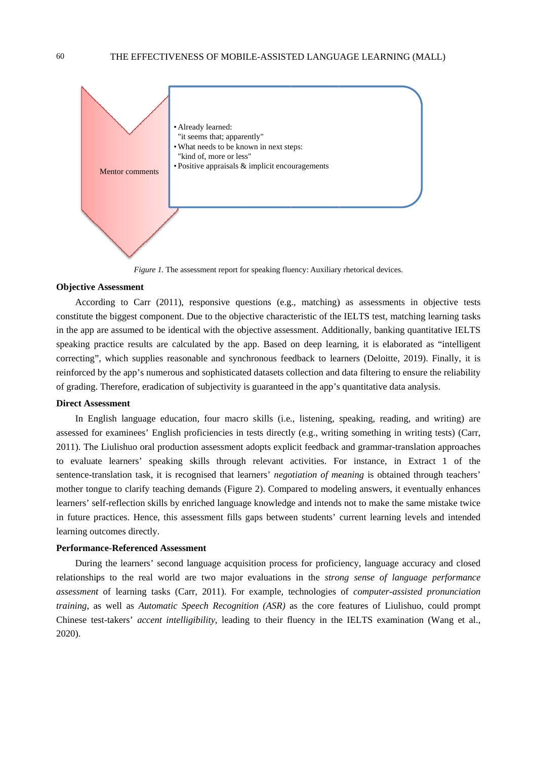

Figure 1. The assessment report for speaking fluency: Auxiliary rhetorical devices.

#### **Objective Assessment**

According to Carr (2011), responsive questions (e.g., matching) as assessments in objective tests constitute the biggest component. Due to the objective characteristic of the IELTS test, matching learning tasks in the app are assumed to be identical with the objective assessment. Additionally, banking quantitative IELTS speaking practice results are calculated by the app. Based on deep learning, it is elaborated as "intelligent correcting", which supplies reasonable and synchronous feedback to learners (Deloitte, 2019). Finally, it is reinforced by the app's numerous and sophisticated datasets collection and data filtering to ensure the reliability of grading. Therefore, eradication of subjectivity is guaranteed in the app's quantitative data analysis.

# **Direct Assessment**

In English language education, four macro skills (i.e., listening, speaking, reading, and writing) are assessed for examinees' English proficiencies in tests directly (e.g., writing something in writing tests) (Carr, 2011). The Liulishuo oral production assessment adopts explicit feedback and grammar-translation approaches to evaluate learners' speaking skills through relevant activities. For instance, in Extract 1 of the sentence-translation task, it is recognised that learners' *negotiation of meaning* is obtained through teachers' mother tongue to clarify teaching demands (Figure 2). Compared to modeling answers, it eventually enhances learners' self-reflection skills by enriched language knowledge and intends not to make the same mistake twice in future practices. Hence, this assessment fills gaps between students' current learning levels and intended learning outcomes directly.

# **Performance-Referenced Assessment**

During the learners' second language acquisition process for proficiency, language accuracy and closed relationships to the real world are two major evaluations in the *strong sense of language performance* assessment of learning tasks (Carr, 2011). For example, technologies of computer-assisted pronunciation training, as well as Automatic Speech Recognition (ASR) as the core features of Liulishuo, could prompt Chinese test-takers' accent intelligibility, leading to their fluency in the IELTS examination (Wang et al.,  $2020$ ).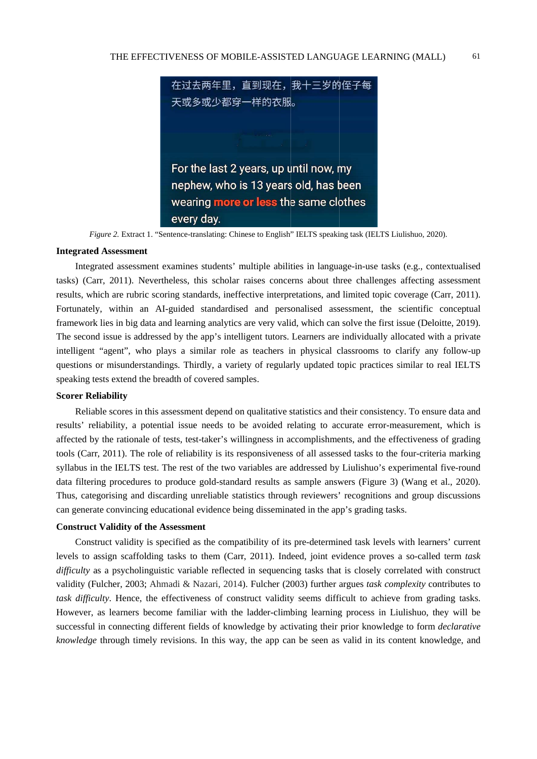

Figure 2. Extract 1. "Sentence-translating: Chinese to English" IELTS speaking task (IELTS Liulishuo, 2020).

#### **Integrated Assessment**

Integrated assessment examines students' multiple abilities in language-in-use tasks (e.g., contextualised tasks) (Carr, 2011). Nevertheless, this scholar raises concerns about three challenges affecting assessment results, which are rubric scoring standards, ineffective interpretations, and limited topic coverage (Carr, 2011). Fortunately, within an AI-guided standardised and personalised assessment, the scientific conceptual framework lies in big data and learning analytics are very valid, which can solve the first issue (Deloitte, 2019). The second issue is addressed by the app's intelligent tutors. Learners are individually allocated with a private intelligent "agent", who plays a similar role as teachers in physical classrooms to clarify any follow-up questions or misunderstandings. Thirdly, a variety of regularly updated topic practices similar to real IELTS speaking tests extend the breadth of covered samples.

#### **Scorer Reliability**

Reliable scores in this assessment depend on qualitative statistics and their consistency. To ensure data and results' reliability, a potential issue needs to be avoided relating to accurate error-measurement, which is affected by the rationale of tests, test-taker's willingness in accomplishments, and the effectiveness of grading tools (Carr, 2011). The role of reliability is its responsiveness of all assessed tasks to the four-criteria marking syllabus in the IELTS test. The rest of the two variables are addressed by Liulishuo's experimental five-round data filtering procedures to produce gold-standard results as sample answers (Figure 3) (Wang et al., 2020). Thus, categorising and discarding unreliable statistics through reviewers' recognitions and group discussions can generate convincing educational evidence being disseminated in the app's grading tasks.

#### **Construct Validity of the Assessment**

Construct validity is specified as the compatibility of its pre-determined task levels with learners' current levels to assign scaffolding tasks to them (Carr, 2011). Indeed, joint evidence proves a so-called term task difficulty as a psycholinguistic variable reflected in sequencing tasks that is closely correlated with construct validity (Fulcher, 2003; Ahmadi & Nazari, 2014). Fulcher (2003) further argues task complexity contributes to task difficulty. Hence, the effectiveness of construct validity seems difficult to achieve from grading tasks. However, as learners become familiar with the ladder-climbing learning process in Liulishuo, they will be successful in connecting different fields of knowledge by activating their prior knowledge to form *declarative* knowledge through timely revisions. In this way, the app can be seen as valid in its content knowledge, and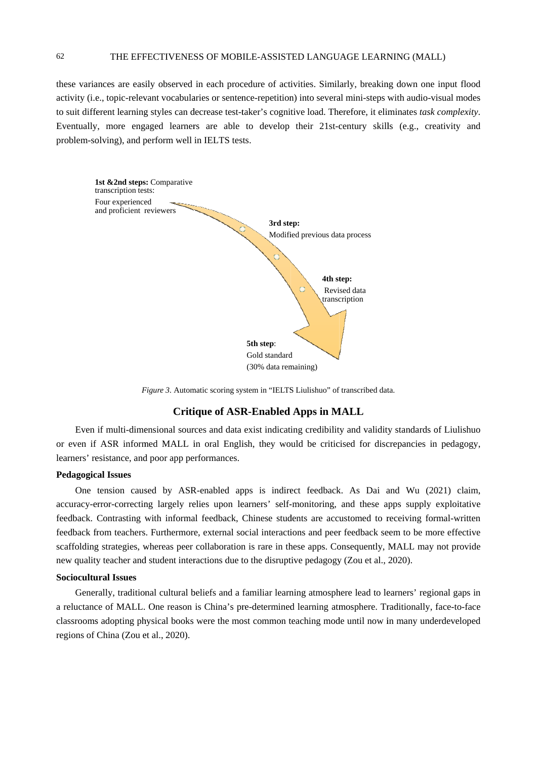these variances are easily observed in each procedure of activities. Similarly, breaking down one input flood activity (i.e., topic-relevant vocabularies or sentence-repetition) into several mini-steps with audio-visual modes to suit different learning styles can decrease test-taker's cognitive load. Therefore, it eliminates task complexity. Eventually, more engaged learners are able to develop their 21st-century skills (e.g., creativity and problem-solving), and perform well in IELTS tests.



Figure 3. Automatic scoring system in "IELTS Liulishuo" of transcribed data.

# **Critique of ASR-Enabled Apps in MALL**

Even if multi-dimensional sources and data exist indicating credibility and validity standards of Liulishuo or even if ASR informed MALL in oral English, they would be criticised for discrepancies in pedagogy, learners' resistance, and poor app performances.

#### **Pedagogical Issues**

One tension caused by ASR-enabled apps is indirect feedback. As Dai and Wu (2021) claim, accuracy-error-correcting largely relies upon learners' self-monitoring, and these apps supply exploitative feedback. Contrasting with informal feedback, Chinese students are accustomed to receiving formal-written feedback from teachers. Furthermore, external social interactions and peer feedback seem to be more effective scaffolding strategies, whereas peer collaboration is rare in these apps. Consequently, MALL may not provide new quality teacher and student interactions due to the disruptive pedagogy (Zou et al., 2020).

### **Sociocultural Issues**

Generally, traditional cultural beliefs and a familiar learning atmosphere lead to learners' regional gaps in a reluctance of MALL. One reason is China's pre-determined learning atmosphere. Traditionally, face-to-face classrooms adopting physical books were the most common teaching mode until now in many underdeveloped regions of China (Zou et al., 2020).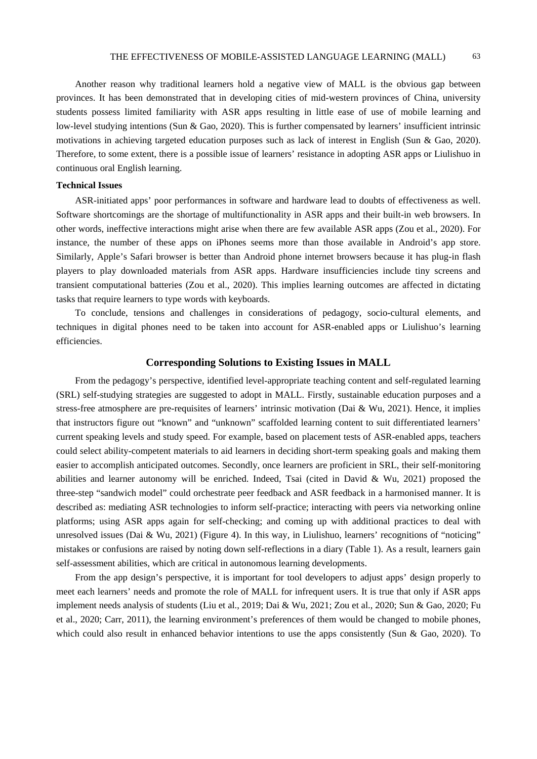Another reason why traditional learners hold a negative view of MALL is the obvious gap between provinces. It has been demonstrated that in developing cities of mid-western provinces of China, university students possess limited familiarity with ASR apps resulting in little ease of use of mobile learning and low-level studying intentions (Sun & Gao, 2020). This is further compensated by learners' insufficient intrinsic motivations in achieving targeted education purposes such as lack of interest in English (Sun & Gao, 2020). Therefore, to some extent, there is a possible issue of learners' resistance in adopting ASR apps or Liulishuo in continuous oral English learning.

# **Technical Issues**

ASR-initiated apps' poor performances in software and hardware lead to doubts of effectiveness as well. Software shortcomings are the shortage of multifunctionality in ASR apps and their built-in web browsers. In other words, ineffective interactions might arise when there are few available ASR apps (Zou et al., 2020). For instance, the number of these apps on iPhones seems more than those available in Android's app store. Similarly, Apple's Safari browser is better than Android phone internet browsers because it has plug-in flash players to play downloaded materials from ASR apps. Hardware insufficiencies include tiny screens and transient computational batteries (Zou et al., 2020). This implies learning outcomes are affected in dictating tasks that require learners to type words with keyboards.

To conclude, tensions and challenges in considerations of pedagogy, socio-cultural elements, and techniques in digital phones need to be taken into account for ASR-enabled apps or Liulishuo's learning efficiencies.

# **Corresponding Solutions to Existing Issues in MALL**

From the pedagogy's perspective, identified level-appropriate teaching content and self-regulated learning (SRL) self-studying strategies are suggested to adopt in MALL. Firstly, sustainable education purposes and a stress-free atmosphere are pre-requisites of learners' intrinsic motivation (Dai & Wu, 2021). Hence, it implies that instructors figure out "known" and "unknown" scaffolded learning content to suit differentiated learners' current speaking levels and study speed. For example, based on placement tests of ASR-enabled apps, teachers could select ability-competent materials to aid learners in deciding short-term speaking goals and making them easier to accomplish anticipated outcomes. Secondly, once learners are proficient in SRL, their self-monitoring abilities and learner autonomy will be enriched. Indeed, Tsai (cited in David & Wu, 2021) proposed the three-step "sandwich model" could orchestrate peer feedback and ASR feedback in a harmonised manner. It is described as: mediating ASR technologies to inform self-practice; interacting with peers via networking online platforms; using ASR apps again for self-checking; and coming up with additional practices to deal with unresolved issues (Dai & Wu, 2021) (Figure 4). In this way, in Liulishuo, learners' recognitions of "noticing" mistakes or confusions are raised by noting down self-reflections in a diary (Table 1). As a result, learners gain self-assessment abilities, which are critical in autonomous learning developments.

From the app design's perspective, it is important for tool developers to adjust apps' design properly to meet each learners' needs and promote the role of MALL for infrequent users. It is true that only if ASR apps implement needs analysis of students (Liu et al., 2019; Dai & Wu, 2021; Zou et al., 2020; Sun & Gao, 2020; Fu et al., 2020; Carr, 2011), the learning environment's preferences of them would be changed to mobile phones, which could also result in enhanced behavior intentions to use the apps consistently (Sun  $\&$  Gao, 2020). To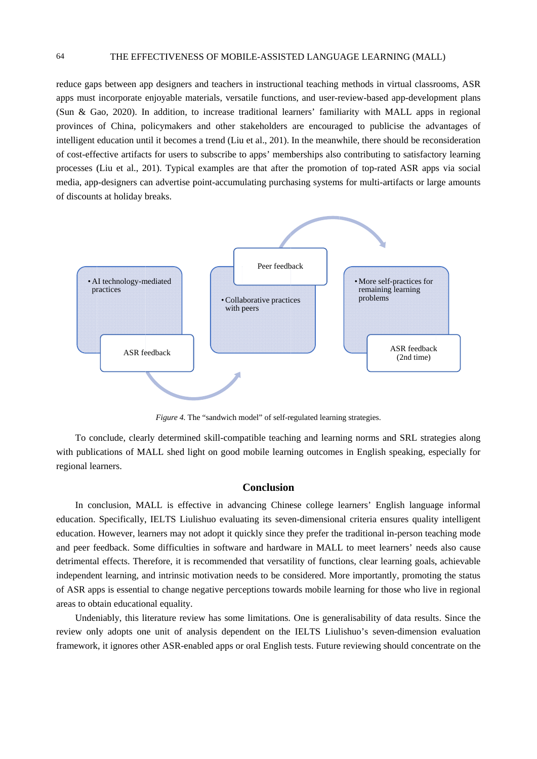reduce gaps between app designers and teachers in instructional teaching methods in virtual classrooms, ASR apps must incorporate enjoyable materials, versatile functions, and user-review-based app-development plans (Sun & Gao, 2020). In addition, to increase traditional learners' familiarity with MALL apps in regional provinces of China, policymakers and other stakeholders are encouraged to publicise the advantages of intelligent education until it becomes a trend (Liu et al., 201). In the meanwhile, there should be reconsideration of cost-effective artifacts for users to subscribe to apps' memberships also contributing to satisfactory learning processes (Liu et al., 201). Typical examples are that after the promotion of top-rated ASR apps via social media, app-designers can advertise point-accumulating purchasing systems for multi-artifacts or large amounts of discounts at holiday breaks.



Figure 4. The "sandwich model" of self-regulated learning strategies.

To conclude, clearly determined skill-compatible teaching and learning norms and SRL strategies along with publications of MALL shed light on good mobile learning outcomes in English speaking, especially for regional learners.

# **Conclusion**

In conclusion, MALL is effective in advancing Chinese college learners' English language informal education. Specifically, IELTS Liulishuo evaluating its seven-dimensional criteria ensures quality intelligent education. However, learners may not adopt it quickly since they prefer the traditional in-person teaching mode and peer feedback. Some difficulties in software and hardware in MALL to meet learners' needs also cause detrimental effects. Therefore, it is recommended that versatility of functions, clear learning goals, achievable independent learning, and intrinsic motivation needs to be considered. More importantly, promoting the status of ASR apps is essential to change negative perceptions towards mobile learning for those who live in regional areas to obtain educational equality.

Undeniably, this literature review has some limitations. One is generalisability of data results. Since the review only adopts one unit of analysis dependent on the IELTS Liulishuo's seven-dimension evaluation framework, it ignores other ASR-enabled apps or oral English tests. Future reviewing should concentrate on the